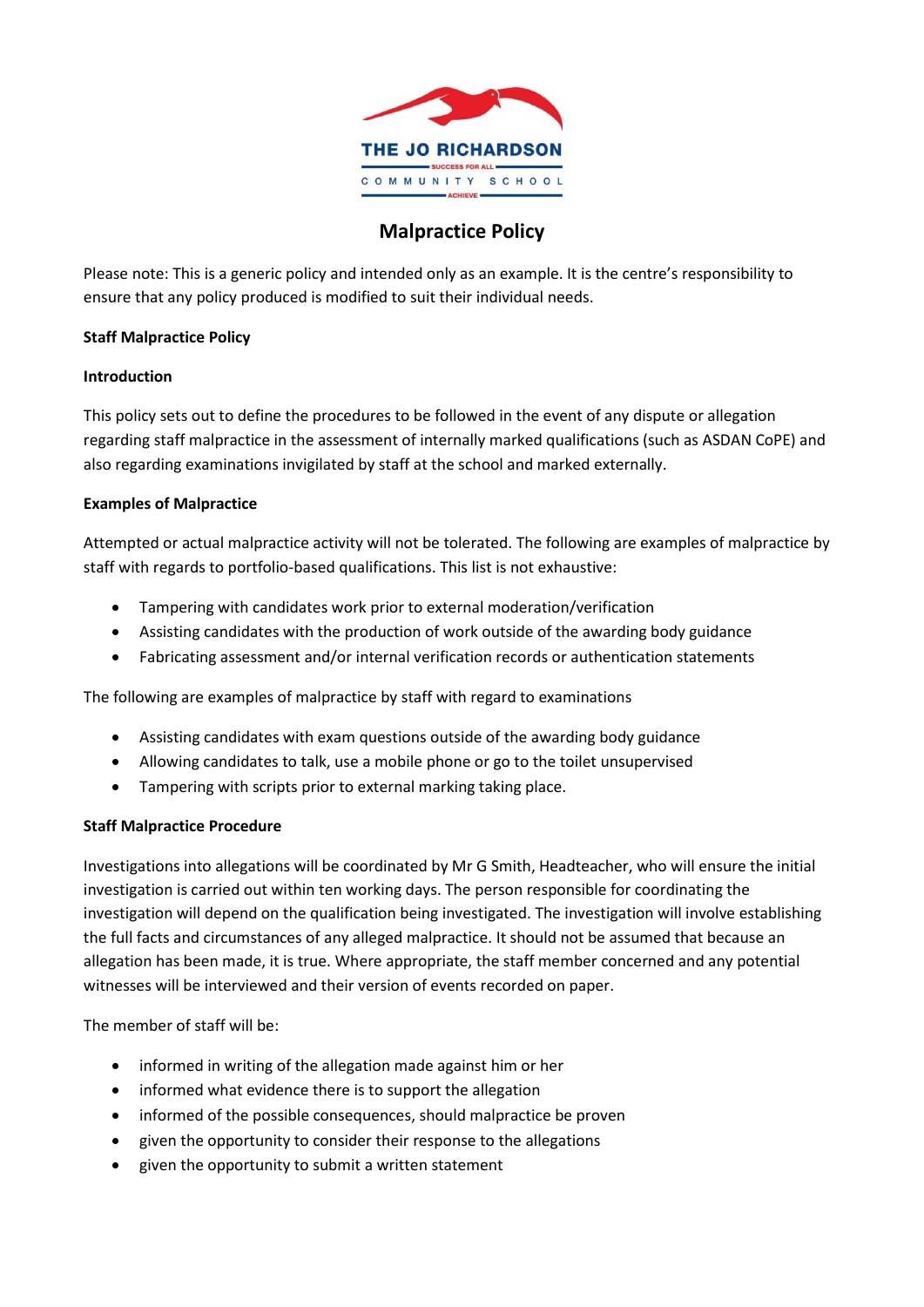

# **Malpractice Policy**

Please note: This is a generic policy and intended only as an example. It is the centre's responsibility to ensure that any policy produced is modified to suit their individual needs.

# **Staff Malpractice Policy**

#### **Introduction**

This policy sets out to define the procedures to be followed in the event of any dispute or allegation regarding staff malpractice in the assessment of internally marked qualifications (such as ASDAN CoPE) and also regarding examinations invigilated by staff at the school and marked externally.

#### **Examples of Malpractice**

Attempted or actual malpractice activity will not be tolerated. The following are examples of malpractice by staff with regards to portfolio-based qualifications. This list is not exhaustive:

- Tampering with candidates work prior to external moderation/verification
- Assisting candidates with the production of work outside of the awarding body guidance
- Fabricating assessment and/or internal verification records or authentication statements

The following are examples of malpractice by staff with regard to examinations

- Assisting candidates with exam questions outside of the awarding body guidance
- Allowing candidates to talk, use a mobile phone or go to the toilet unsupervised
- Tampering with scripts prior to external marking taking place.

# **Staff Malpractice Procedure**

Investigations into allegations will be coordinated by Mr G Smith, Headteacher, who will ensure the initial investigation is carried out within ten working days. The person responsible for coordinating the investigation will depend on the qualification being investigated. The investigation will involve establishing the full facts and circumstances of any alleged malpractice. It should not be assumed that because an allegation has been made, it is true. Where appropriate, the staff member concerned and any potential witnesses will be interviewed and their version of events recorded on paper.

The member of staff will be:

- informed in writing of the allegation made against him or her
- informed what evidence there is to support the allegation
- informed of the possible consequences, should malpractice be proven
- given the opportunity to consider their response to the allegations
- given the opportunity to submit a written statement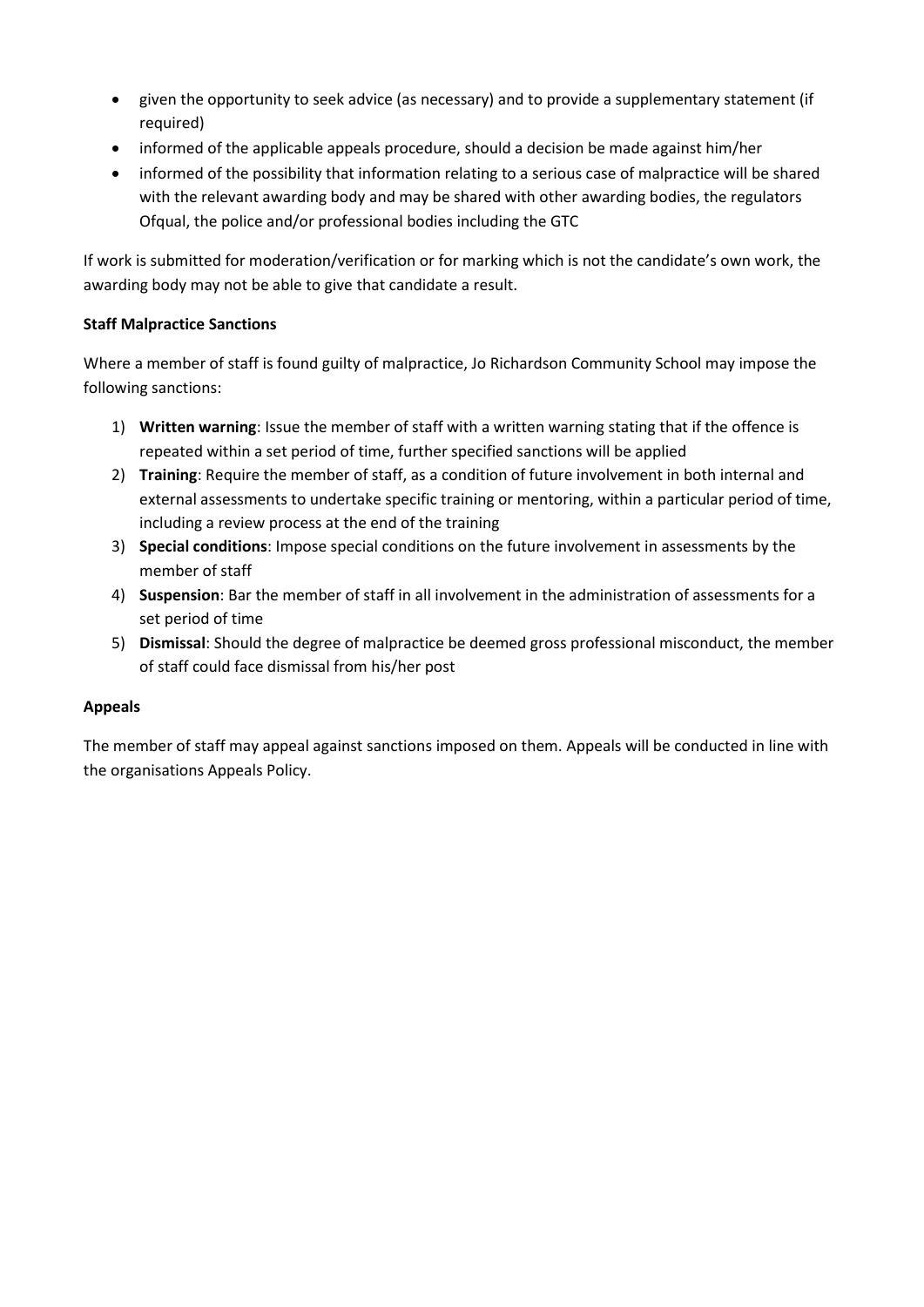- given the opportunity to seek advice (as necessary) and to provide a supplementary statement (if required)
- informed of the applicable appeals procedure, should a decision be made against him/her
- informed of the possibility that information relating to a serious case of malpractice will be shared with the relevant awarding body and may be shared with other awarding bodies, the regulators Ofqual, the police and/or professional bodies including the GTC

If work is submitted for moderation/verification or for marking which is not the candidate's own work, the awarding body may not be able to give that candidate a result.

# **Staff Malpractice Sanctions**

Where a member of staff is found guilty of malpractice, Jo Richardson Community School may impose the following sanctions:

- 1) **Written warning**: Issue the member of staff with a written warning stating that if the offence is repeated within a set period of time, further specified sanctions will be applied
- 2) **Training**: Require the member of staff, as a condition of future involvement in both internal and external assessments to undertake specific training or mentoring, within a particular period of time, including a review process at the end of the training
- 3) **Special conditions**: Impose special conditions on the future involvement in assessments by the member of staff
- 4) **Suspension**: Bar the member of staff in all involvement in the administration of assessments for a set period of time
- 5) **Dismissal**: Should the degree of malpractice be deemed gross professional misconduct, the member of staff could face dismissal from his/her post

# **Appeals**

The member of staff may appeal against sanctions imposed on them. Appeals will be conducted in line with the organisations Appeals Policy.